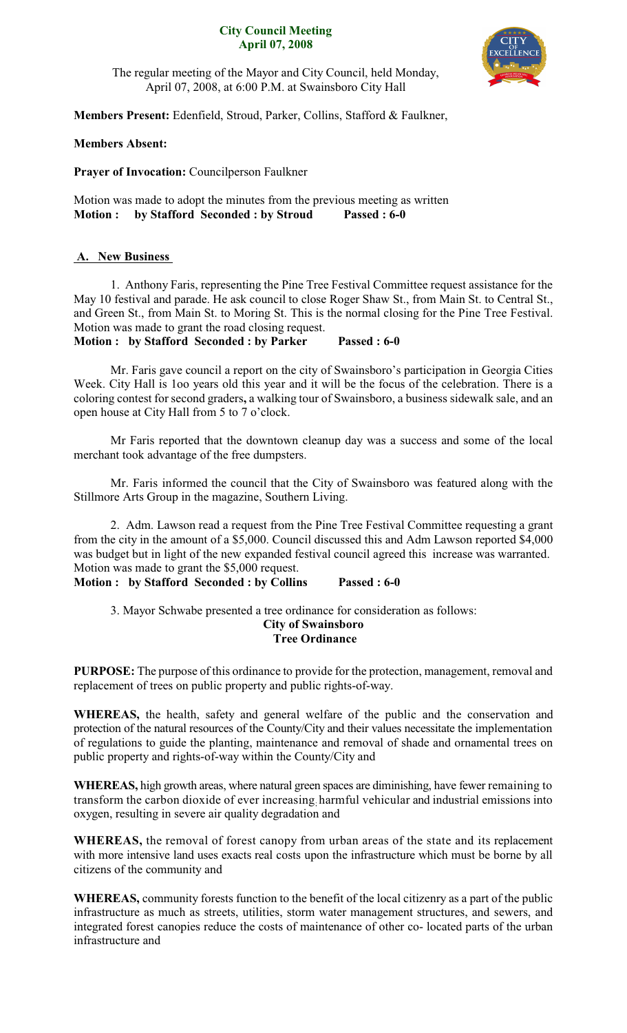### **City Council Meeting April 07, 2008**



The regular meeting of the Mayor and City Council, held Monday, April 07, 2008, at 6:00 P.M. at Swainsboro City Hall

**Members Present:** Edenfield, Stroud, Parker, Collins, Stafford & Faulkner,

# **Members Absent:**

**Prayer of Invocation:** Councilperson Faulkner

Motion was made to adopt the minutes from the previous meeting as written **Motion : by Stafford Seconded : by Stroud Passed : 6-0**

# **A. New Business**

1. Anthony Faris, representing the Pine Tree Festival Committee request assistance for the May 10 festival and parade. He ask council to close Roger Shaw St., from Main St. to Central St., and Green St., from Main St. to Moring St. This is the normal closing for the Pine Tree Festival. Motion was made to grant the road closing request.

**Motion : by Stafford Seconded : by Parker Passed : 6-0**

Mr. Faris gave council a report on the city of Swainsboro's participation in Georgia Cities Week. City Hall is 1oo years old this year and it will be the focus of the celebration. There is a coloring contest for second graders**,** a walking tour of Swainsboro, a business sidewalk sale, and an open house at City Hall from 5 to 7 o'clock.

Mr Faris reported that the downtown cleanup day was a success and some of the local merchant took advantage of the free dumpsters.

Mr. Faris informed the council that the City of Swainsboro was featured along with the Stillmore Arts Group in the magazine, Southern Living.

2. Adm. Lawson read a request from the Pine Tree Festival Committee requesting a grant from the city in the amount of a \$5,000. Council discussed this and Adm Lawson reported \$4,000 was budget but in light of the new expanded festival council agreed this increase was warranted. Motion was made to grant the \$5,000 request.

**Motion : by Stafford Seconded : by Collins Passed : 6-0**

3. Mayor Schwabe presented a tree ordinance for consideration as follows:

#### **City of Swainsboro Tree Ordinance**

**PURPOSE:** The purpose of this ordinance to provide for the protection, management, removal and replacement of trees on public property and public rights-of-way.

**WHEREAS,** the health, safety and general welfare of the public and the conservation and protection of the natural resources of the County/City and their values necessitate the implementation of regulations to guide the planting, maintenance and removal of shade and ornamental trees on public property and rights-of-way within the County/City and

**WHEREAS,** high growth areas, where natural green spaces are diminishing, have fewer remaining to transform the carbon dioxide of ever increasing harmful vehicular and industrial emissions into oxygen, resulting in severe air quality degradation and

**WHEREAS,** the removal of forest canopy from urban areas of the state and its replacement with more intensive land uses exacts real costs upon the infrastructure which must be borne by all citizens of the community and

**WHEREAS,** community forests function to the benefit of the local citizenry as a part of the public infrastructure as much as streets, utilities, storm water management structures, and sewers, and integrated forest canopies reduce the costs of maintenance of other co- located parts of the urban infrastructure and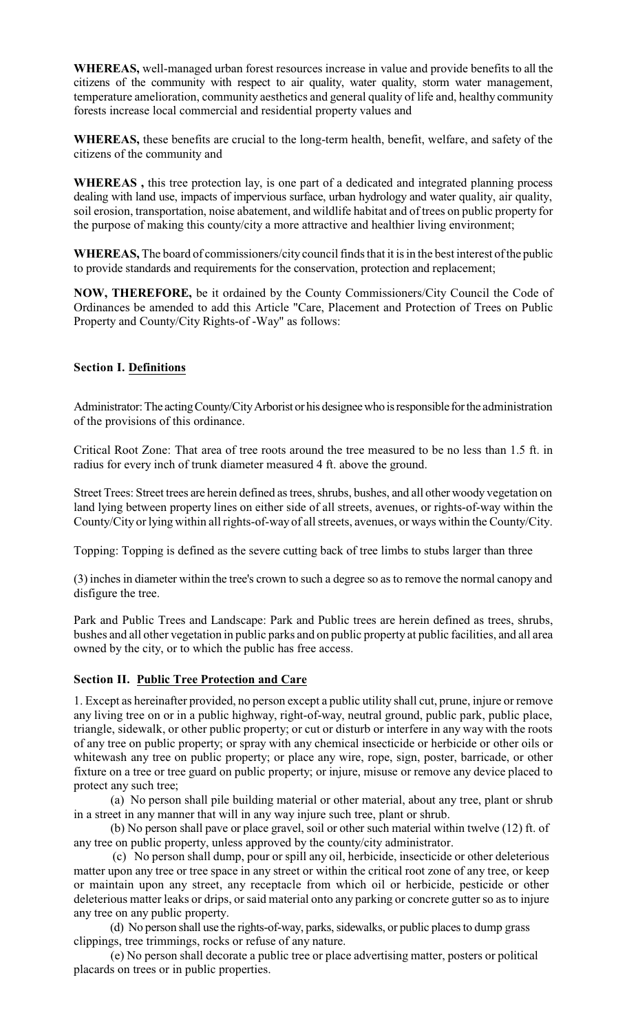**WHEREAS,** well-managed urban forest resources increase in value and provide benefits to all the citizens of the community with respect to air quality, water quality, storm water management, temperature amelioration, community aesthetics and general quality of life and, healthy community forests increase local commercial and residential property values and

**WHEREAS,** these benefits are crucial to the long-term health, benefit, welfare, and safety of the citizens of the community and

**WHEREAS ,** this tree protection lay, is one part of a dedicated and integrated planning process dealing with land use, impacts of impervious surface, urban hydrology and water quality, air quality, soil erosion, transportation, noise abatement, and wildlife habitat and of trees on public property for the purpose of making this county/city a more attractive and healthier living environment;

**WHEREAS,** The board of commissioners/city council finds that it is in the best interest ofthe public to provide standards and requirements for the conservation, protection and replacement;

**NOW, THEREFORE,** be it ordained by the County Commissioners/City Council the Code of Ordinances be amended to add this Article "Care, Placement and Protection of Trees on Public Property and County/City Rights-of -Way" as follows:

# **Section I. Definitions**

Administrator: The acting County/City Arborist or his designee who is responsible for the administration of the provisions of this ordinance.

Critical Root Zone: That area of tree roots around the tree measured to be no less than 1.5 ft. in radius for every inch of trunk diameter measured 4 ft. above the ground.

Street Trees: Street trees are herein defined as trees, shrubs, bushes, and all other woody vegetation on land lying between property lines on either side of all streets, avenues, or rights-of-way within the County/City or lying within all rights-of-way of all streets, avenues, or ways within the County/City.

Topping: Topping is defined as the severe cutting back of tree limbs to stubs larger than three

(3) inchesin diameter within the tree's crown to such a degree so as to remove the normal canopy and disfigure the tree.

Park and Public Trees and Landscape: Park and Public trees are herein defined as trees, shrubs, bushes and all other vegetation in public parks and on public property at public facilities, and all area owned by the city, or to which the public has free access.

### **Section II. Public Tree Protection and Care**

1. Except as hereinafter provided, no person except a public utility shall cut, prune, injure or remove any living tree on or in a public highway, right-of-way, neutral ground, public park, public place, triangle, sidewalk, or other public property; or cut or disturb or interfere in any way with the roots of any tree on public property; or spray with any chemical insecticide or herbicide or other oils or whitewash any tree on public property; or place any wire, rope, sign, poster, barricade, or other fixture on a tree or tree guard on public property; or injure, misuse or remove any device placed to protect any such tree;

(a) No person shall pile building material or other material, about any tree, plant or shrub in a street in any manner that will in any way injure such tree, plant or shrub.

(b) No person shall pave or place gravel, soil or other such material within twelve (12) ft. of any tree on public property, unless approved by the county/city administrator.

(c) No person shall dump, pour or spill any oil, herbicide, insecticide or other deleterious matter upon any tree or tree space in any street or within the critical root zone of any tree, or keep or maintain upon any street, any receptacle from which oil or herbicide, pesticide or other deleterious matter leaks or drips, or said material onto any parking or concrete gutter so as to injure any tree on any public property.

(d) No person shall use the rights-of-way, parks, sidewalks, or public places to dump grass clippings, tree trimmings, rocks or refuse of any nature.

(e) No person shall decorate a public tree or place advertising matter, posters or political placards on trees or in public properties.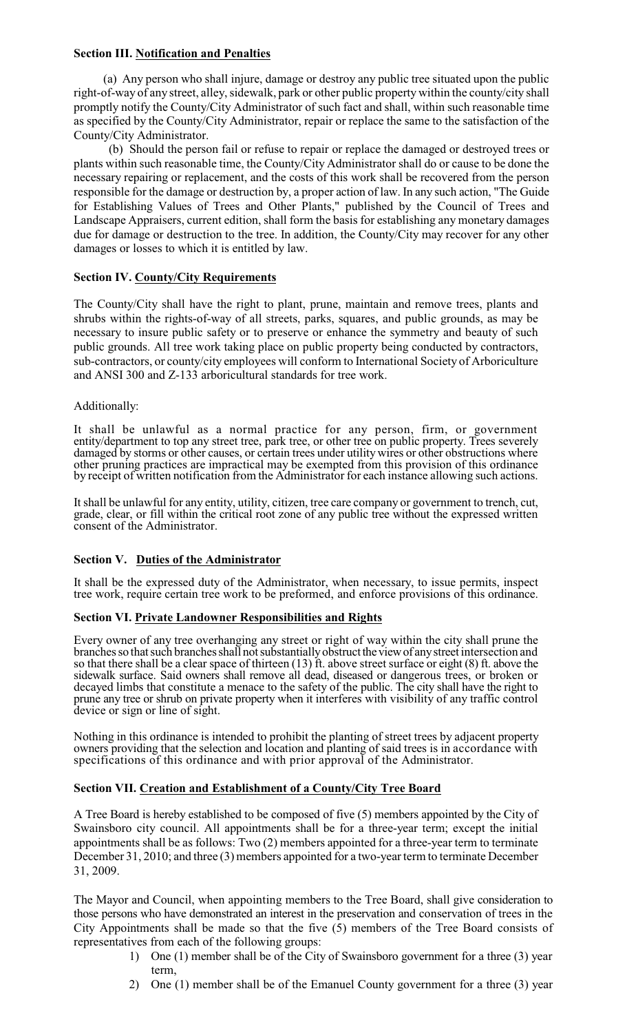## **Section III. Notification and Penalties**

(a) Any person who shall injure, damage or destroy any public tree situated upon the public right-of-way of any street, alley, sidewalk, park or other public property within the county/city shall promptly notify the County/City Administrator of such fact and shall, within such reasonable time as specified by the County/City Administrator, repair or replace the same to the satisfaction of the County/City Administrator.

(b) Should the person fail or refuse to repair or replace the damaged or destroyed trees or plants within such reasonable time, the County/City Administrator shall do or cause to be done the necessary repairing or replacement, and the costs of this work shall be recovered from the person responsible for the damage or destruction by, a proper action of law. In any such action, "The Guide for Establishing Values of Trees and Other Plants," published by the Council of Trees and Landscape Appraisers, current edition, shall form the basis for establishing any monetary damages due for damage or destruction to the tree. In addition, the County/City may recover for any other damages or losses to which it is entitled by law.

### **Section IV. County/City Requirements**

The County/City shall have the right to plant, prune, maintain and remove trees, plants and shrubs within the rights-of-way of all streets, parks, squares, and public grounds, as may be necessary to insure public safety or to preserve or enhance the symmetry and beauty of such public grounds. All tree work taking place on public property being conducted by contractors, sub-contractors, or county/city employees will conform to International Society of Arboriculture and ANSI 300 and Z-133 arboricultural standards for tree work.

### Additionally:

It shall be unlawful as a normal practice for any person, firm, or government entity/department to top any street tree, park tree, or other tree on public property. Trees severely damaged by storms or other causes, or certain trees under utility wires or other obstructions where other pruning practices are impractical may be exempted from this provision of this ordinance by receipt of written notification from the Administrator for each instance allowing such actions.

It shall be unlawful for any entity, utility, citizen, tree care company or government to trench, cut, grade, clear, or fill within the critical root zone of any public tree without the expressed written consent of the Administrator.

#### **Section V. Duties of the Administrator**

It shall be the expressed duty of the Administrator, when necessary, to issue permits, inspect tree work, require certain tree work to be preformed, and enforce provisions of this ordinance.

# **Section VI. Private Landowner Responsibilities and Rights**

Every owner of any tree overhanging any street or right of way within the city shall prune the branches so that such branches shall not substantially obstruct the view of any street intersection and so that there shall be a clear space of thirteen (13) ft. above street surface or eight (8) ft. above the sidewalk surface. Said owners shall remove all dead, diseased or dangerous trees, or broken or decayed limbs that constitute a menace to the safety of the public. The city shall have the right to prune any tree or shrub on private property when it interferes with visibility of any traffic control device or sign or line of sight.

Nothing in this ordinance is intended to prohibit the planting of street trees by adjacent property owners providing that the selection and location and planting of said trees is in accordance with specifications of this ordinance and with prior approval of the Administrator.

#### **Section VII. Creation and Establishment of a County/City Tree Board**

A Tree Board is hereby established to be composed of five (5) members appointed by the City of Swainsboro city council. All appointments shall be for a three-year term; except the initial appointments shall be as follows: Two (2) members appointed for a three-year term to terminate December 31, 2010; and three (3) members appointed for a two-year term to terminate December 31, 2009.

The Mayor and Council, when appointing members to the Tree Board, shall give consideration to those persons who have demonstrated an interest in the preservation and conservation of trees in the City Appointments shall be made so that the five (5) members of the Tree Board consists of representatives from each of the following groups:

- 1) One (1) member shall be of the City of Swainsboro government for a three (3) year term,
- 2) One (1) member shall be of the Emanuel County government for a three (3) year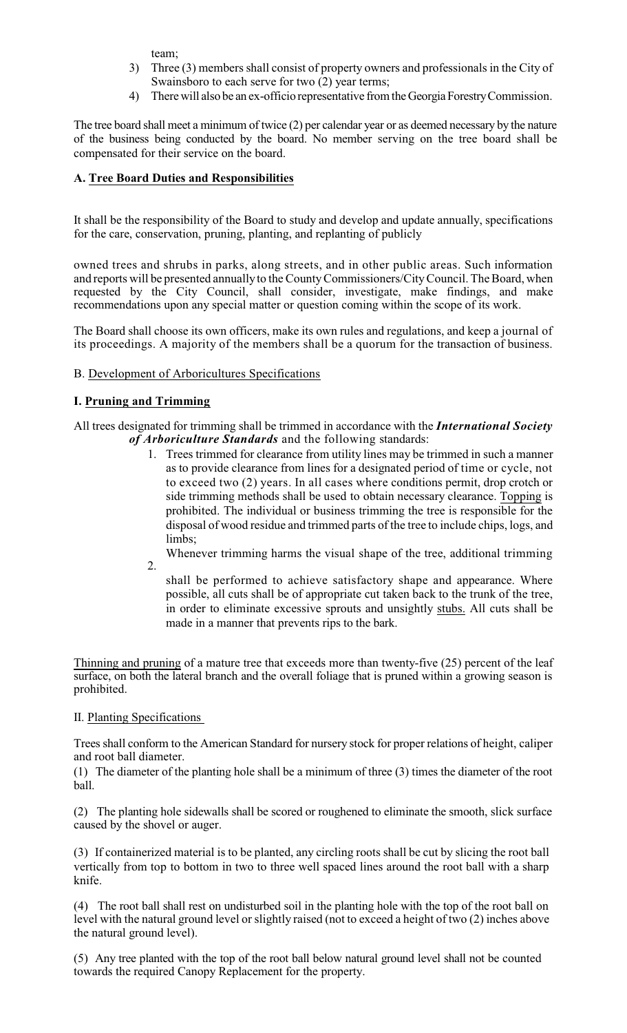team;

- 3) Three (3) members shall consist of property owners and professionals in the City of Swainsboro to each serve for two (2) year terms;
- 4) There will also be an ex-officio representative from the Georgia Forestry Commission.

The tree board shall meet a minimum of twice (2) per calendar year or as deemed necessary by the nature of the business being conducted by the board. No member serving on the tree board shall be compensated for their service on the board.

# **A. Tree Board Duties and Responsibilities**

It shall be the responsibility of the Board to study and develop and update annually, specifications for the care, conservation, pruning, planting, and replanting of publicly

owned trees and shrubs in parks, along streets, and in other public areas. Such information and reports will be presented annuallyto the CountyCommissioners/CityCouncil. The Board, when requested by the City Council, shall consider, investigate, make findings, and make recommendations upon any special matter or question coming within the scope of its work.

The Board shall choose its own officers, make its own rules and regulations, and keep a journal of its proceedings. A majority of the members shall be a quorum for the transaction of business.

# B. Development of Arboricultures Specifications

# **I. Pruning and Trimming**

2.

All trees designated for trimming shall be trimmed in accordance with the *International Society of Arboriculture Standards* and the following standards:

1. Trees trimmed for clearance from utility lines may be trimmed in such a manner as to provide clearance from lines for a designated period of time or cycle, not to exceed two (2) years. In all cases where conditions permit, drop crotch or side trimming methods shall be used to obtain necessary clearance. Topping is prohibited. The individual or business trimming the tree is responsible for the disposal of wood residue and trimmed parts of the tree to include chips, logs, and limbs;

Whenever trimming harms the visual shape of the tree, additional trimming

shall be performed to achieve satisfactory shape and appearance. Where possible, all cuts shall be of appropriate cut taken back to the trunk of the tree, in order to eliminate excessive sprouts and unsightly stubs. All cuts shall be made in a manner that prevents rips to the bark.

Thinning and pruning of a mature tree that exceeds more than twenty-five (25) percent of the leaf surface, on both the lateral branch and the overall foliage that is pruned within a growing season is prohibited.

II. Planting Specifications

Trees shall conform to the American Standard for nursery stock for proper relations of height, caliper and root ball diameter.

(1) The diameter of the planting hole shall be a minimum of three (3) times the diameter of the root ball.

(2) The planting hole sidewalls shall be scored or roughened to eliminate the smooth, slick surface caused by the shovel or auger.

(3) If containerized material is to be planted, any circling roots shall be cut by slicing the root ball vertically from top to bottom in two to three well spaced lines around the root ball with a sharp knife.

(4) The root ball shall rest on undisturbed soil in the planting hole with the top of the root ball on level with the natural ground level or slightly raised (not to exceed a height of two (2) inches above the natural ground level).

(5) Any tree planted with the top of the root ball below natural ground level shall not be counted towards the required Canopy Replacement for the property.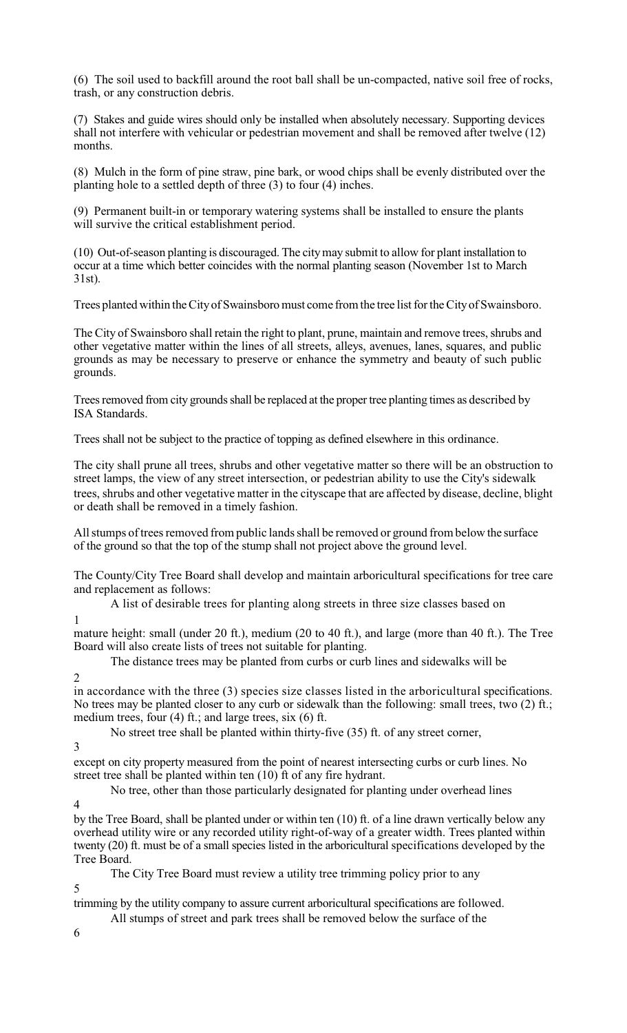(6) The soil used to backfill around the root ball shall be un-compacted, native soil free of rocks, trash, or any construction debris.

(7) Stakes and guide wires should only be installed when absolutely necessary. Supporting devices shall not interfere with vehicular or pedestrian movement and shall be removed after twelve (12) months.

(8) Mulch in the form of pine straw, pine bark, or wood chips shall be evenly distributed over the planting hole to a settled depth of three (3) to four (4) inches.

(9) Permanent built-in or temporary watering systems shall be installed to ensure the plants will survive the critical establishment period.

(10) Out-of-season planting is discouraged. The citymay submit to allow for plant installation to occur at a time which better coincides with the normal planting season (November 1st to March 31st).

Trees planted within the City of Swainsboro must come from the tree list for the City of Swainsboro.

The City of Swainsboro shall retain the right to plant, prune, maintain and remove trees, shrubs and other vegetative matter within the lines of all streets, alleys, avenues, lanes, squares, and public grounds as may be necessary to preserve or enhance the symmetry and beauty of such public grounds.

Trees removed from city grounds shall be replaced at the proper tree planting times as described by ISA Standards.

Trees shall not be subject to the practice of topping as defined elsewhere in this ordinance.

The city shall prune all trees, shrubs and other vegetative matter so there will be an obstruction to street lamps, the view of any street intersection, or pedestrian ability to use the City's sidewalk trees, shrubs and other vegetative matter in the cityscape that are affected by disease, decline, blight or death shall be removed in a timely fashion.

All stumps of trees removed from public lands shall be removed or ground from below the surface of the ground so that the top of the stump shall not project above the ground level.

The County/City Tree Board shall develop and maintain arboricultural specifications for tree care and replacement as follows:

A list of desirable trees for planting along streets in three size classes based on

1

mature height: small (under 20 ft.), medium (20 to 40 ft.), and large (more than 40 ft.). The Tree Board will also create lists of trees not suitable for planting.

The distance trees may be planted from curbs or curb lines and sidewalks will be

2

in accordance with the three (3) species size classes listed in the arboricultural specifications. No trees may be planted closer to any curb or sidewalk than the following: small trees, two (2) ft.; medium trees, four (4) ft.; and large trees, six (6) ft.

No street tree shall be planted within thirty-five (35) ft. of any street corner,

3

except on city property measured from the point of nearest intersecting curbs or curb lines. No street tree shall be planted within ten (10) ft of any fire hydrant.

No tree, other than those particularly designated for planting under overhead lines

4

by the Tree Board, shall be planted under or within ten (10) ft. of a line drawn vertically below any overhead utility wire or any recorded utility right-of-way of a greater width. Trees planted within twenty (20) ft. must be of a small species listed in the arboricultural specifications developed by the Tree Board.

The City Tree Board must review a utility tree trimming policy prior to any

trimming by the utility company to assure current arboricultural specifications are followed.

- All stumps of street and park trees shall be removed below the surface of the
- 6

5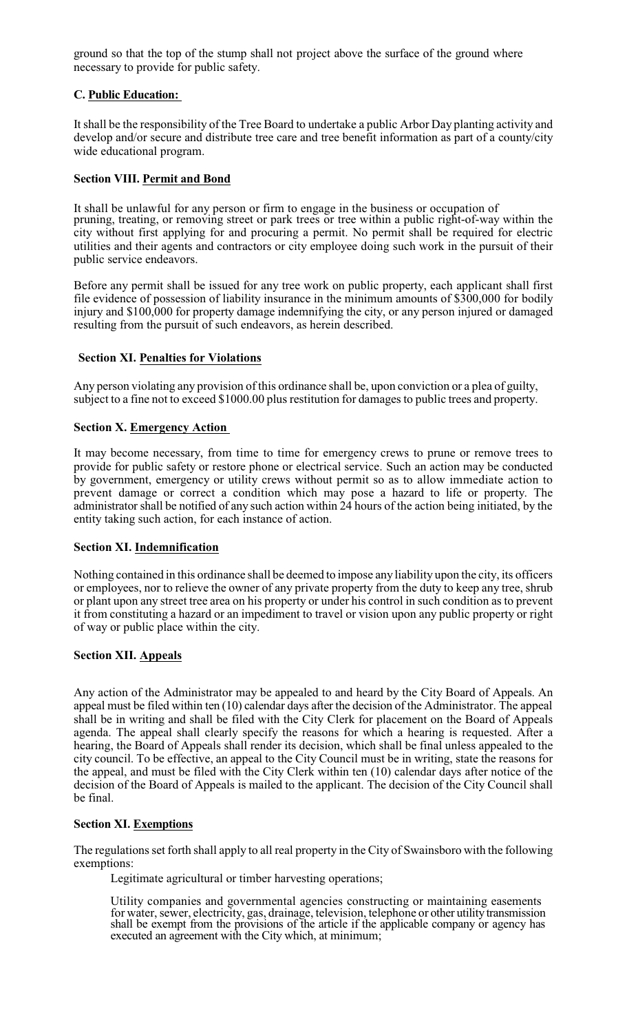ground so that the top of the stump shall not project above the surface of the ground where necessary to provide for public safety.

# **C. Public Education:**

It shall be the responsibility of the Tree Board to undertake a public Arbor Day planting activity and develop and/or secure and distribute tree care and tree benefit information as part of a county/city wide educational program.

## **Section VIII. Permit and Bond**

It shall be unlawful for any person or firm to engage in the business or occupation of pruning, treating, or removing street or park trees or tree within a public right-of-way within the city without first applying for and procuring a permit. No permit shall be required for electric utilities and their agents and contractors or city employee doing such work in the pursuit of their public service endeavors.

Before any permit shall be issued for any tree work on public property, each applicant shall first file evidence of possession of liability insurance in the minimum amounts of \$300,000 for bodily injury and \$100,000 for property damage indemnifying the city, or any person injured or damaged resulting from the pursuit of such endeavors, as herein described.

### **Section XI. Penalties for Violations**

Any person violating any provision of this ordinance shall be, upon conviction or a plea of guilty, subject to a fine not to exceed \$1000.00 plus restitution for damages to public trees and property.

### **Section X. Emergency Action**

It may become necessary, from time to time for emergency crews to prune or remove trees to provide for public safety or restore phone or electrical service. Such an action may be conducted by government, emergency or utility crews without permit so as to allow immediate action to prevent damage or correct a condition which may pose a hazard to life or property. The administrator shall be notified of any such action within 24 hours of the action being initiated, by the entity taking such action, for each instance of action.

## **Section XI. Indemnification**

Nothing contained in this ordinance shall be deemed to impose any liability upon the city, its officers or employees, nor to relieve the owner of any private property from the duty to keep any tree, shrub or plant upon any street tree area on his property or under his control in such condition as to prevent it from constituting a hazard or an impediment to travel or vision upon any public property or right of way or public place within the city.

#### **Section XII. Appeals**

Any action of the Administrator may be appealed to and heard by the City Board of Appeals. An appeal must be filed within ten (10) calendar days after the decision of the Administrator. The appeal shall be in writing and shall be filed with the City Clerk for placement on the Board of Appeals agenda. The appeal shall clearly specify the reasons for which a hearing is requested. After a hearing, the Board of Appeals shall render its decision, which shall be final unless appealed to the city council. To be effective, an appeal to the City Council must be in writing, state the reasons for the appeal, and must be filed with the City Clerk within ten (10) calendar days after notice of the decision of the Board of Appeals is mailed to the applicant. The decision of the City Council shall be final.

# **Section XI. Exemptions**

The regulations set forth shall apply to all real property in the City of Swainsboro with the following exemptions:

Legitimate agricultural or timber harvesting operations;

Utility companies and governmental agencies constructing or maintaining easements for water, sewer, electricity, gas, drainage, television, telephone or other utility transmission shall be exempt from the provisions of the article if the applicable company or agency has executed an agreement with the City which, at minimum;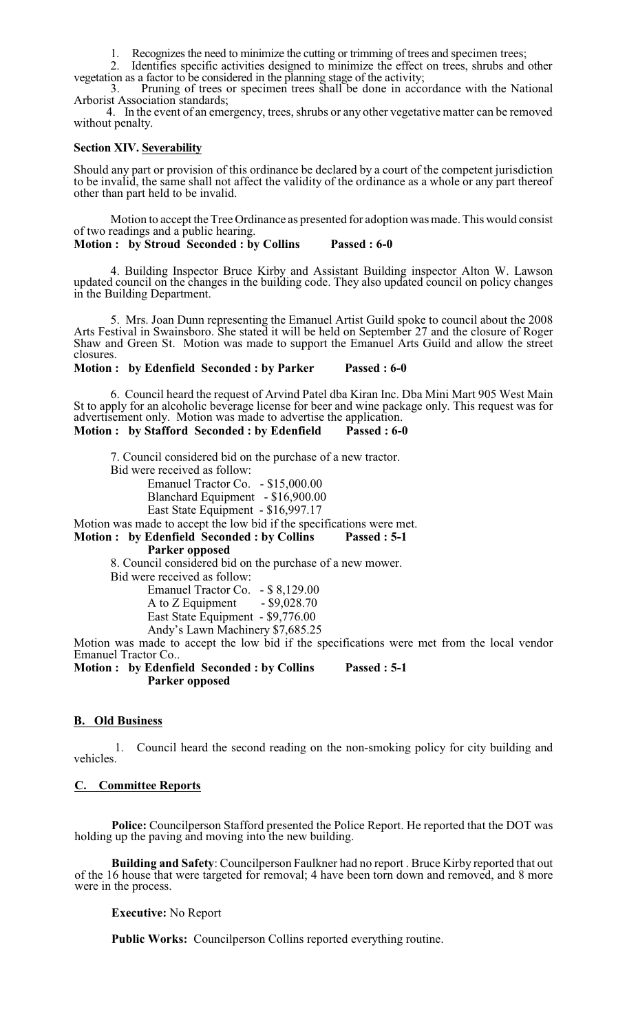1. Recognizes the need to minimize the cutting or trimming of trees and specimen trees;

2. Identifies specific activities designed to minimize the effect on trees, shrubs and other vegetation as a factor to be considered in the planning stage of the activity;

3. Pruning of trees or specimen trees shall be done in accordance with the National Arborist Association standards;

4. In the event of an emergency, trees, shrubs or any other vegetative matter can be removed without penalty.

#### **Section XIV. Severability**

Should any part or provision of this ordinance be declared by a court of the competent jurisdiction to be invalid, the same shall not affect the validity of the ordinance as a whole or any part thereof other than part held to be invalid.

Motion to accept the Tree Ordinance as presented for adoption was made. This would consist of two readings and a public hearing.

**Motion : by Stroud Seconded : by Collins Passed : 6-0**

4. Building Inspector Bruce Kirby and Assistant Building inspector Alton W. Lawson updated council on the changes in the building code. They also updated council on policy changes in the Building Department.

5. Mrs. Joan Dunn representing the Emanuel Artist Guild spoke to council about the 2008 Arts Festival in Swainsboro. She stated it will be held on September 27 and the closure of Roger Shaw and Green St. Motion was made to support the Emanuel Arts Guild and allow the street closures.

#### **Motion : by Edenfield Seconded : by Parker Passed : 6-0**

6. Council heard the request of Arvind Patel dba Kiran Inc. Dba Mini Mart 905 West Main St to apply for an alcoholic beverage license for beer and wine package only. This request was for advertisement only. Motion was made to advertise the application.

## **Motion : by Stafford Seconded : by Edenfield Passed : 6-0**

7. Council considered bid on the purchase of a new tractor. Bid were received as follow: Emanuel Tractor Co. - \$15,000.00 Blanchard Equipment - \$16,900.00 East State Equipment - \$16,997.17 Motion was made to accept the low bid if the specifications were met. **Motion : by Edenfield Seconded : by Collins Passed : 5-1 Parker opposed** 8. Council considered bid on the purchase of a new mower. Bid were received as follow: Emanuel Tractor Co. - \$ 8,129.00 A to  $Z$  Equipment - \$9,028.70 East State Equipment - \$9,776.00

Andy's Lawn Machinery \$7,685.25

Motion was made to accept the low bid if the specifications were met from the local vendor Emanuel Tractor Co..

**Motion : by Edenfield Seconded : by Collins Passed : 5-1 Parker opposed**

#### **B. Old Business**

1. Council heard the second reading on the non-smoking policy for city building and vehicles.

#### **C. Committee Reports**

**Police:** Councilperson Stafford presented the Police Report. He reported that the DOT was holding up the paving and moving into the new building.

**Building and Safety**: Councilperson Faulkner had no report . Bruce Kirby reported that out of the 16 house that were targeted for removal; 4 have been torn down and removed, and 8 more were in the process.

#### **Executive:** No Report

**Public Works:** Councilperson Collins reported everything routine.